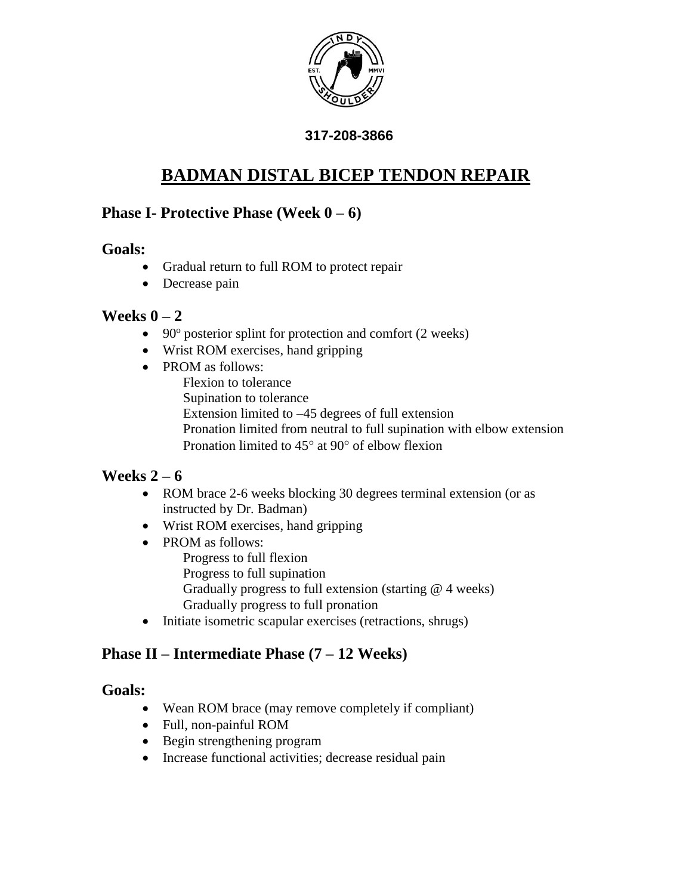

#### **317-208-3866**

# **BADMAN DISTAL BICEP TENDON REPAIR**

## **Phase I- Protective Phase (Week 0 – 6)**

#### **Goals:**

- Gradual return to full ROM to protect repair
- Decrease pain

## **Weeks 0 – 2**

- 90° posterior splint for protection and comfort (2 weeks)
- Wrist ROM exercises, hand gripping
- PROM as follows: Flexion to tolerance Supination to tolerance Extension limited to –45 degrees of full extension Pronation limited from neutral to full supination with elbow extension Pronation limited to  $45^{\circ}$  at 90 $^{\circ}$  of elbow flexion

# **Weeks 2 – 6**

- ROM brace 2-6 weeks blocking 30 degrees terminal extension (or as instructed by Dr. Badman)
- Wrist ROM exercises, hand gripping
- PROM as follows: Progress to full flexion Progress to full supination Gradually progress to full extension (starting @ 4 weeks) Gradually progress to full pronation
- Initiate isometric scapular exercises (retractions, shrugs)

# **Phase II – Intermediate Phase (7 – 12 Weeks)**

#### **Goals:**

- Wean ROM brace (may remove completely if compliant)
- Full, non-painful ROM
- Begin strengthening program
- Increase functional activities; decrease residual pain